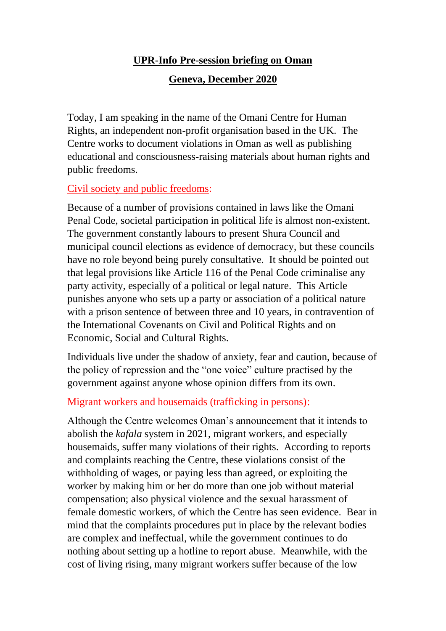# **UPR-Info Pre-session briefing on Oman**

## **Geneva, December 2020**

Today, I am speaking in the name of the Omani Centre for Human Rights, an independent non-profit organisation based in the UK. The Centre works to document violations in Oman as well as publishing educational and consciousness-raising materials about human rights and public freedoms.

## Civil society and public freedoms:

Because of a number of provisions contained in laws like the Omani Penal Code, societal participation in political life is almost non-existent. The government constantly labours to present Shura Council and municipal council elections as evidence of democracy, but these councils have no role beyond being purely consultative. It should be pointed out that legal provisions like Article 116 of the Penal Code criminalise any party activity, especially of a political or legal nature. This Article punishes anyone who sets up a party or association of a political nature with a prison sentence of between three and 10 years, in contravention of the International Covenants on Civil and Political Rights and on Economic, Social and Cultural Rights.

Individuals live under the shadow of anxiety, fear and caution, because of the policy of repression and the "one voice" culture practised by the government against anyone whose opinion differs from its own.

## Migrant workers and housemaids (trafficking in persons):

Although the Centre welcomes Oman's announcement that it intends to abolish the *kafala* system in 2021, migrant workers, and especially housemaids, suffer many violations of their rights. According to reports and complaints reaching the Centre, these violations consist of the withholding of wages, or paying less than agreed, or exploiting the worker by making him or her do more than one job without material compensation; also physical violence and the sexual harassment of female domestic workers, of which the Centre has seen evidence. Bear in mind that the complaints procedures put in place by the relevant bodies are complex and ineffectual, while the government continues to do nothing about setting up a hotline to report abuse. Meanwhile, with the cost of living rising, many migrant workers suffer because of the low